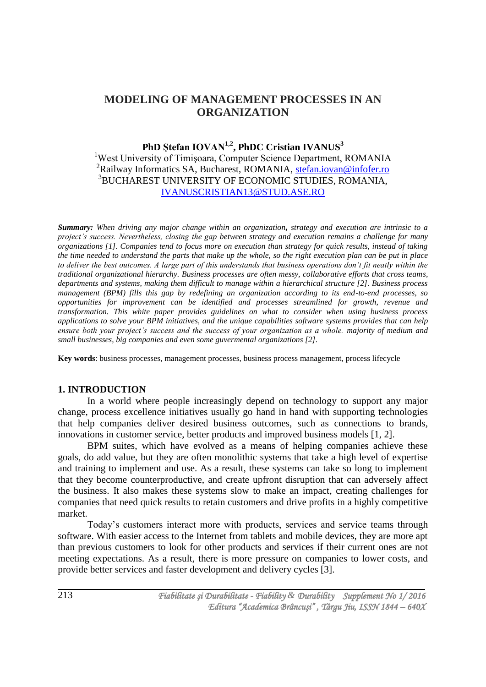# **MODELING OF MANAGEMENT PROCESSES IN AN ORGANIZATION**

## **PhD Ştefan IOVAN1,2, PhDC Cristian IVANUS<sup>3</sup>**

<sup>1</sup>West University of Timisoara, Computer Science Department, ROMANIA <sup>2</sup>Railway Informatics SA, Bucharest, ROMANIA, [stefan.iovan@infofer.ro](mailto:stefan.iovan@infofer.ro) <sup>3</sup>BUCHAREST UNIVERSITY OF ECONOMIC STUDIES, ROMANIA, [IVANUSCRISTIAN13@STUD.ASE.RO](mailto:ivanuscristian13@stud.ase.ro)

*Summary: When driving any major change within an organization, strategy and execution are intrinsic to a project's success. Nevertheless, closing the gap between strategy and execution remains a challenge for many organizations [1]. Companies tend to focus more on execution than strategy for quick results, instead of taking the time needed to understand the parts that make up the whole, so the right execution plan can be put in place to deliver the best outcomes. A large part of this understands that business operations don't fit neatly within the traditional organizational hierarchy. Business processes are often messy, collaborative efforts that cross teams, departments and systems, making them difficult to manage within a hierarchical structure [2]. Business process management (BPM) fills this gap by redefining an organization according to its end-to-end processes, so opportunities for improvement can be identified and processes streamlined for growth, revenue and transformation. This white paper provides guidelines on what to consider when using business process applications to solve your BPM initiatives, and the unique capabilities software systems provides that can help ensure both your project's success and the success of your organization as a whole. majority of medium and small businesses, big companies and even some guvermental organizations [2].*

**Key words**: business processes, management processes, business process management, process lifecycle

#### **1. INTRODUCTION**

In a world where people increasingly depend on technology to support any major change, process excellence initiatives usually go hand in hand with supporting technologies that help companies deliver desired business outcomes, such as connections to brands, innovations in customer service, better products and improved business models [1, 2].

BPM suites, which have evolved as a means of helping companies achieve these goals, do add value, but they are often monolithic systems that take a high level of expertise and training to implement and use. As a result, these systems can take so long to implement that they become counterproductive, and create upfront disruption that can adversely affect the business. It also makes these systems slow to make an impact, creating challenges for companies that need quick results to retain customers and drive profits in a highly competitive market.

Today's customers interact more with products, services and service teams through software. With easier access to the Internet from tablets and mobile devices, they are more apt than previous customers to look for other products and services if their current ones are not meeting expectations. As a result, there is more pressure on companies to lower costs, and provide better services and faster development and delivery cycles [3].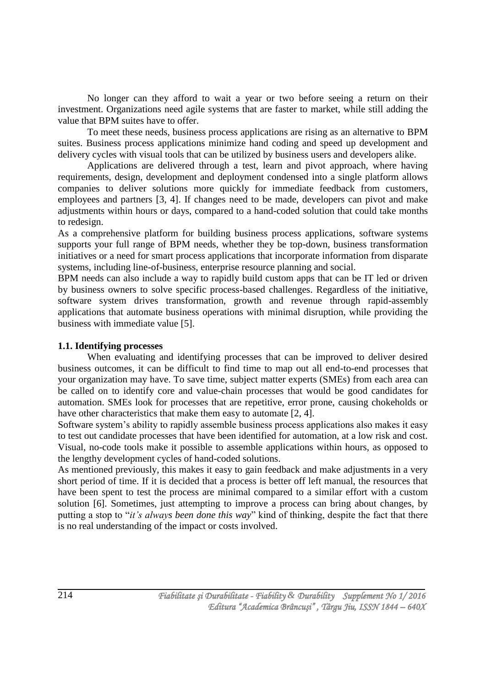No longer can they afford to wait a year or two before seeing a return on their investment. Organizations need agile systems that are faster to market, while still adding the value that BPM suites have to offer.

To meet these needs, business process applications are rising as an alternative to BPM suites. Business process applications minimize hand coding and speed up development and delivery cycles with visual tools that can be utilized by business users and developers alike.

Applications are delivered through a test, learn and pivot approach, where having requirements, design, development and deployment condensed into a single platform allows companies to deliver solutions more quickly for immediate feedback from customers, employees and partners [3, 4]. If changes need to be made, developers can pivot and make adjustments within hours or days, compared to a hand-coded solution that could take months to redesign.

As a comprehensive platform for building business process applications, software systems supports your full range of BPM needs, whether they be top-down, business transformation initiatives or a need for smart process applications that incorporate information from disparate systems, including line-of-business, enterprise resource planning and social.

BPM needs can also include a way to rapidly build custom apps that can be IT led or driven by business owners to solve specific process-based challenges. Regardless of the initiative, software system drives transformation, growth and revenue through rapid-assembly applications that automate business operations with minimal disruption, while providing the business with immediate value [5].

#### **1.1. Identifying processes**

When evaluating and identifying processes that can be improved to deliver desired business outcomes, it can be difficult to find time to map out all end-to-end processes that your organization may have. To save time, subject matter experts (SMEs) from each area can be called on to identify core and value-chain processes that would be good candidates for automation. SMEs look for processes that are repetitive, error prone, causing chokeholds or have other characteristics that make them easy to automate [2, 4].

Software system's ability to rapidly assemble business process applications also makes it easy to test out candidate processes that have been identified for automation, at a low risk and cost. Visual, no-code tools make it possible to assemble applications within hours, as opposed to the lengthy development cycles of hand-coded solutions.

As mentioned previously, this makes it easy to gain feedback and make adjustments in a very short period of time. If it is decided that a process is better off left manual, the resources that have been spent to test the process are minimal compared to a similar effort with a custom solution [6]. Sometimes, just attempting to improve a process can bring about changes, by putting a stop to "*it's always been done this way*" kind of thinking, despite the fact that there is no real understanding of the impact or costs involved.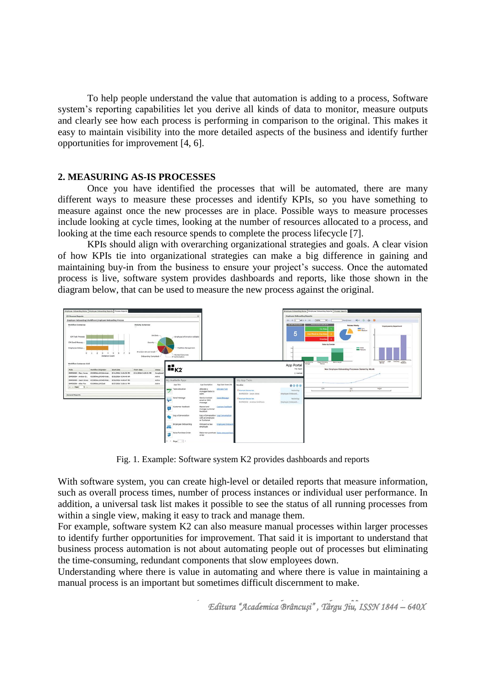To help people understand the value that automation is adding to a process, Software system's reporting capabilities let you derive all kinds of data to monitor, measure outputs and clearly see how each process is performing in comparison to the original. This makes it easy to maintain visibility into the more detailed aspects of the business and identify further opportunities for improvement [4, 6].

#### **2. MEASURING AS-IS PROCESSES**

Once you have identified the processes that will be automated, there are many different ways to measure these processes and identify KPIs, so you have something to measure against once the new processes are in place. Possible ways to measure processes include looking at cycle times, looking at the number of resources allocated to a process, and looking at the time each resource spends to complete the process lifecycle [7].

KPIs should align with overarching organizational strategies and goals. A clear vision of how KPIs tie into organizational strategies can make a big difference in gaining and maintaining buy-in from the business to ensure your project's success. Once the automated process is live, software system provides dashboards and reports, like those shown in the diagram below, that can be used to measure the new process against the original.



Fig. 1. Example: Software system K2 provides dashboards and reports

With software system, you can create high-level or detailed reports that measure information, such as overall process times, number of process instances or individual user performance. In addition, a universal task list makes it possible to see the status of all running processes from within a single view, making it easy to track and manage them.

For example, software system K2 can also measure manual processes within larger processes to identify further opportunities for improvement. That said it is important to understand that business process automation is not about automating people out of processes but eliminating the time-consuming, redundant components that slow employees down.

Understanding where there is value in automating and where there is value in maintaining a manual process is an important but sometimes difficult discernment to make.

> *Fiabilitate şi Durabilitate - Fiability & Durability Supplement No 1/ 2016 Editura "Academica Brâncuşi" , Târgu Jiu, ISSN 1844 – 640X*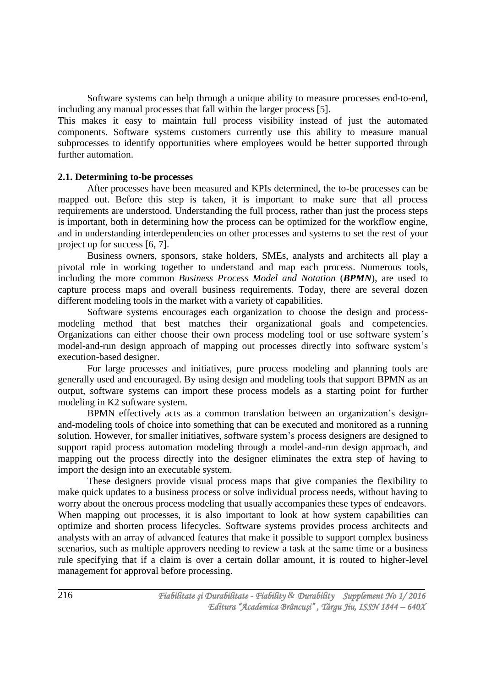Software systems can help through a unique ability to measure processes end-to-end, including any manual processes that fall within the larger process [5].

This makes it easy to maintain full process visibility instead of just the automated components. Software systems customers currently use this ability to measure manual subprocesses to identify opportunities where employees would be better supported through further automation.

#### **2.1. Determining to-be processes**

After processes have been measured and KPIs determined, the to-be processes can be mapped out. Before this step is taken, it is important to make sure that all process requirements are understood. Understanding the full process, rather than just the process steps is important, both in determining how the process can be optimized for the workflow engine, and in understanding interdependencies on other processes and systems to set the rest of your project up for success [6, 7].

Business owners, sponsors, stake holders, SMEs, analysts and architects all play a pivotal role in working together to understand and map each process. Numerous tools, including the more common *Business Process Model and Notation* (*BPMN*), are used to capture process maps and overall business requirements. Today, there are several dozen different modeling tools in the market with a variety of capabilities.

Software systems encourages each organization to choose the design and processmodeling method that best matches their organizational goals and competencies. Organizations can either choose their own process modeling tool or use software system's model-and-run design approach of mapping out processes directly into software system's execution-based designer.

For large processes and initiatives, pure process modeling and planning tools are generally used and encouraged. By using design and modeling tools that support BPMN as an output, software systems can import these process models as a starting point for further modeling in K2 software system.

BPMN effectively acts as a common translation between an organization's designand-modeling tools of choice into something that can be executed and monitored as a running solution. However, for smaller initiatives, software system's process designers are designed to support rapid process automation modeling through a model-and-run design approach, and mapping out the process directly into the designer eliminates the extra step of having to import the design into an executable system.

These designers provide visual process maps that give companies the flexibility to make quick updates to a business process or solve individual process needs, without having to worry about the onerous process modeling that usually accompanies these types of endeavors. When mapping out processes, it is also important to look at how system capabilities can optimize and shorten process lifecycles. Software systems provides process architects and analysts with an array of advanced features that make it possible to support complex business scenarios, such as multiple approvers needing to review a task at the same time or a business rule specifying that if a claim is over a certain dollar amount, it is routed to higher-level management for approval before processing.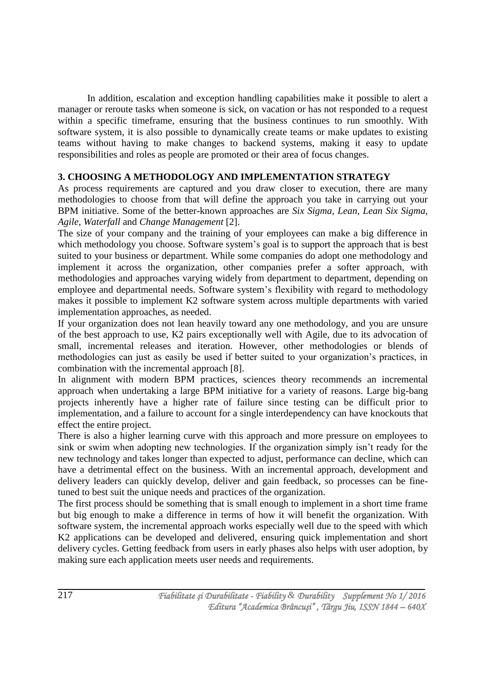In addition, escalation and exception handling capabilities make it possible to alert a manager or reroute tasks when someone is sick, on vacation or has not responded to a request within a specific timeframe, ensuring that the business continues to run smoothly. With software system, it is also possible to dynamically create teams or make updates to existing teams without having to make changes to backend systems, making it easy to update responsibilities and roles as people are promoted or their area of focus changes.

### **3. CHOOSING A METHODOLOGY AND IMPLEMENTATION STRATEGY**

As process requirements are captured and you draw closer to execution, there are many methodologies to choose from that will define the approach you take in carrying out your BPM initiative. Some of the better-known approaches are *Six Sigma, Lean, Lean Six Sigma, Agile, Waterfall* and *Change Management* [2].

The size of your company and the training of your employees can make a big difference in which methodology you choose. Software system's goal is to support the approach that is best suited to your business or department. While some companies do adopt one methodology and implement it across the organization, other companies prefer a softer approach, with methodologies and approaches varying widely from department to department, depending on employee and departmental needs. Software system's flexibility with regard to methodology makes it possible to implement K2 software system across multiple departments with varied implementation approaches, as needed.

If your organization does not lean heavily toward any one methodology, and you are unsure of the best approach to use, K2 pairs exceptionally well with Agile, due to its advocation of small, incremental releases and iteration. However, other methodologies or blends of methodologies can just as easily be used if better suited to your organization's practices, in combination with the incremental approach [8].

In alignment with modern BPM practices, sciences theory recommends an incremental approach when undertaking a large BPM initiative for a variety of reasons. Large big-bang projects inherently have a higher rate of failure since testing can be difficult prior to implementation, and a failure to account for a single interdependency can have knockouts that effect the entire project.

There is also a higher learning curve with this approach and more pressure on employees to sink or swim when adopting new technologies. If the organization simply isn't ready for the new technology and takes longer than expected to adjust, performance can decline, which can have a detrimental effect on the business. With an incremental approach, development and delivery leaders can quickly develop, deliver and gain feedback, so processes can be finetuned to best suit the unique needs and practices of the organization.

The first process should be something that is small enough to implement in a short time frame but big enough to make a difference in terms of how it will benefit the organization. With software system, the incremental approach works especially well due to the speed with which K2 applications can be developed and delivered, ensuring quick implementation and short delivery cycles. Getting feedback from users in early phases also helps with user adoption, by making sure each application meets user needs and requirements.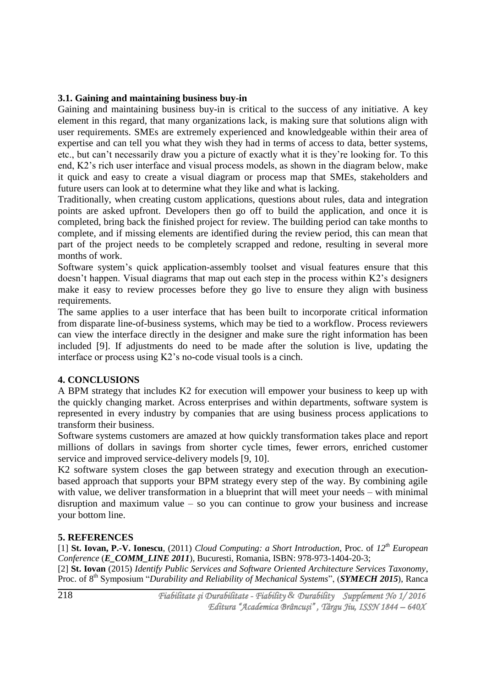#### **3.1. Gaining and maintaining business buy-in**

Gaining and maintaining business buy-in is critical to the success of any initiative. A key element in this regard, that many organizations lack, is making sure that solutions align with user requirements. SMEs are extremely experienced and knowledgeable within their area of expertise and can tell you what they wish they had in terms of access to data, better systems, etc., but can't necessarily draw you a picture of exactly what it is they're looking for. To this end, K2's rich user interface and visual process models, as shown in the diagram below, make it quick and easy to create a visual diagram or process map that SMEs, stakeholders and future users can look at to determine what they like and what is lacking.

Traditionally, when creating custom applications, questions about rules, data and integration points are asked upfront. Developers then go off to build the application, and once it is completed, bring back the finished project for review. The building period can take months to complete, and if missing elements are identified during the review period, this can mean that part of the project needs to be completely scrapped and redone, resulting in several more months of work.

Software system's quick application-assembly toolset and visual features ensure that this doesn't happen. Visual diagrams that map out each step in the process within K2's designers make it easy to review processes before they go live to ensure they align with business requirements.

The same applies to a user interface that has been built to incorporate critical information from disparate line-of-business systems, which may be tied to a workflow. Process reviewers can view the interface directly in the designer and make sure the right information has been included [9]. If adjustments do need to be made after the solution is live, updating the interface or process using K2's no-code visual tools is a cinch.

### **4. CONCLUSIONS**

A BPM strategy that includes K2 for execution will empower your business to keep up with the quickly changing market. Across enterprises and within departments, software system is represented in every industry by companies that are using business process applications to transform their business.

Software systems customers are amazed at how quickly transformation takes place and report millions of dollars in savings from shorter cycle times, fewer errors, enriched customer service and improved service-delivery models [9, 10].

K2 software system closes the gap between strategy and execution through an executionbased approach that supports your BPM strategy every step of the way. By combining agile with value, we deliver transformation in a blueprint that will meet your needs – with minimal disruption and maximum value – so you can continue to grow your business and increase your bottom line.

### **5. REFERENCES**

[1] **St. Iovan, P.-V. Ionescu**, (2011) *Cloud Computing: a Short Introduction*, Proc. of *12th European Conference* (*E\_COMM\_LINE 2011*), Bucuresti, Romania, ISBN: 978-973-1404-20-3;

[2] **St. Iovan** (2015) *Identify Public Services and Software Oriented Architecture Services Taxonomy*, Proc. of 8<sup>th</sup> Symposium "*Durability and Reliability of Mechanical Systems*", (*SYMECH 2015*), Ranca